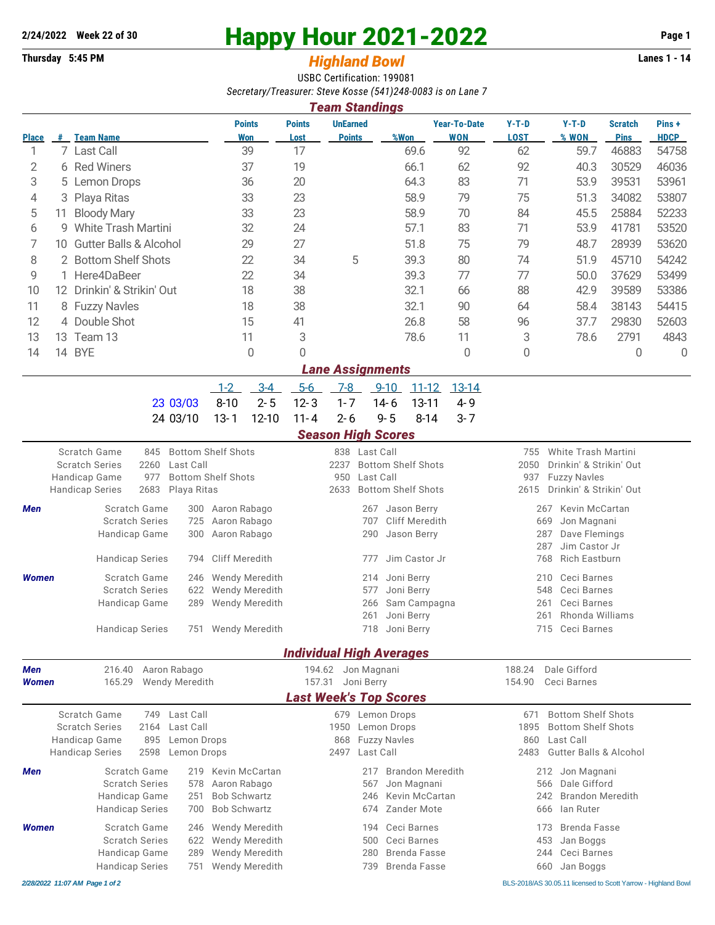## **2/24/2022** Week 22 of 30<br> **Happy Hour 2021-2022** Page 1<br> **Page 1**<br> **Page 1**<br> **Page 1**<br> **Page 1**<br> **Page 1**<br> **Page 1**<br> **Page 1**

## **Thursday 5:45 PM** *Highland Bowl*

USBC Certification: 199081 *Secretary/Treasurer: Steve Kosse (541)248-0083 is on Lane 7*

|              | <b>Team Standings</b> |                                   |                      |                       |                                  |      |                                   |                        |                  |                               |                      |  |
|--------------|-----------------------|-----------------------------------|----------------------|-----------------------|----------------------------------|------|-----------------------------------|------------------------|------------------|-------------------------------|----------------------|--|
| <b>Place</b> | #                     | <b>Team Name</b>                  | <b>Points</b><br>Won | <b>Points</b><br>Lost | <b>UnEarned</b><br><b>Points</b> | %Won | <b>Year-To-Date</b><br><b>WON</b> | $Y-T-D$<br><b>LOST</b> | $Y-T-D$<br>% WON | <b>Scratch</b><br><b>Pins</b> | Pins+<br><b>HDCP</b> |  |
|              |                       | 7 Last Call                       | 39                   | 17                    |                                  | 69.6 | 92                                | 62                     | 59.7             | 46883                         | 54758                |  |
| 2            | 6                     | <b>Red Winers</b>                 | 37                   | 19                    |                                  | 66.1 | 62                                | 92                     | 40.3             | 30529                         | 46036                |  |
| 3            |                       | 5 Lemon Drops                     | 36                   | 20                    |                                  | 64.3 | 83                                | 71                     | 53.9             | 39531                         | 53961                |  |
| 4            |                       | 3 Playa Ritas                     | 33                   | 23                    |                                  | 58.9 | 79                                | 75                     | 51.3             | 34082                         | 53807                |  |
| 5            | 11                    | <b>Bloody Mary</b>                | 33                   | 23                    |                                  | 58.9 | 70                                | 84                     | 45.5             | 25884                         | 52233                |  |
| 6            | g                     | White Trash Martini               | 32                   | 24                    |                                  | 57.1 | 83                                | 71                     | 53.9             | 41781                         | 53520                |  |
|              | 10.                   | <b>Gutter Balls &amp; Alcohol</b> | 29                   | 27                    |                                  | 51.8 | 75                                | 79                     | 48.7             | 28939                         | 53620                |  |
| 8            |                       | 2 Bottom Shelf Shots              | 22                   | 34                    | 5                                | 39.3 | 80                                | 74                     | 51.9             | 45710                         | 54242                |  |
| 9            |                       | 1 Here4DaBeer                     | 22                   | 34                    |                                  | 39.3 | 77                                | 77                     | 50.0             | 37629                         | 53499                |  |
| 10           | 12 <sup>2</sup>       | Drinkin' & Strikin' Out           | 18                   | 38                    |                                  | 32.1 | 66                                | 88                     | 42.9             | 39589                         | 53386                |  |
| 11           |                       | 8 Fuzzy Navles                    | 18                   | 38                    |                                  | 32.1 | 90                                | 64                     | 58.4             | 38143                         | 54415                |  |
| 12           |                       | 4 Double Shot                     | 15                   | 41                    |                                  | 26.8 | 58                                | 96                     | 37.7             | 29830                         | 52603                |  |
| 13           | 13.                   | Team 13                           | 11                   | 3                     |                                  | 78.6 | 11                                | 3                      | 78.6             | 2791                          | 4843                 |  |
| 14           | 14                    | <b>BYE</b>                        | 0                    | 0                     |                                  |      | 0                                 | 0                      |                  | 0                             | 0                    |  |
|              |                       |                                   |                      |                       | <b>Lane Assignments</b>          |      |                                   |                        |                  |                               |                      |  |

|                                           | 1-2 3-4 5-6 7-8 9-10 11-12 13-14 |  |  |  |
|-------------------------------------------|----------------------------------|--|--|--|
| 23 03/03 8-10 2-5 12-3 1-7 14-6 13-11 4-9 |                                  |  |  |  |
| 24 03/10 13-1 12-10 11-4 2-6 9-5 8-14 3-7 |                                  |  |  |  |

## *Season High Scores*

| stavon man soonto                                                                |                                                                                  |                                                                                                          |                     |                                                                                                            |                                                                                                                                        |  |  |  |  |  |
|----------------------------------------------------------------------------------|----------------------------------------------------------------------------------|----------------------------------------------------------------------------------------------------------|---------------------|------------------------------------------------------------------------------------------------------------|----------------------------------------------------------------------------------------------------------------------------------------|--|--|--|--|--|
| Scratch Game<br><b>Scratch Series</b><br>Handicap Game<br><b>Handicap Series</b> | 845<br>2260<br>977<br>2683                                                       | <b>Bottom Shelf Shots</b><br>Last Call<br><b>Bottom Shelf Shots</b><br>Playa Ritas                       | 2237<br>950<br>2633 | 838 Last Call<br><b>Bottom Shelf Shots</b><br>Last Call<br><b>Bottom Shelf Shots</b>                       | White Trash Martini<br>755<br>Drinkin' & Strikin' Out<br>2050<br><b>Fuzzy Navles</b><br>937<br>2615<br>Drinkin' & Strikin' Out         |  |  |  |  |  |
| <b>Men</b>                                                                       | Scratch Game<br><b>Scratch Series</b><br>Handicap Game<br><b>Handicap Series</b> | Aaron Rabago<br>300<br>Aaron Rabago<br>725<br>Aaron Rabago<br>300<br>Cliff Meredith<br>794               |                     | 267<br>Jason Berry<br>Cliff Meredith<br>707<br>Jason Berry<br>290<br>Jim Castor Jr<br>777                  | Kevin McCartan<br>267<br>Jon Magnani<br>669<br>Dave Flemings<br>287<br>Jim Castor Jr<br>287<br><b>Rich Eastburn</b><br>768             |  |  |  |  |  |
| <b>Women</b>                                                                     | Scratch Game<br><b>Scratch Series</b><br>Handicap Game<br><b>Handicap Series</b> | <b>Wendy Meredith</b><br>246<br>Wendy Meredith<br>622<br>Wendy Meredith<br>289<br>Wendy Meredith<br>751  |                     | Joni Berry<br>214<br>Joni Berry<br>577<br>Sam Campagna<br>266<br>Joni Berry<br>261<br>Joni Berry<br>718    | Ceci Barnes<br>210<br>Ceci Barnes<br>548<br>Ceci Barnes<br>261<br>Rhonda Williams<br>261<br>Ceci Barnes<br>715                         |  |  |  |  |  |
|                                                                                  |                                                                                  |                                                                                                          |                     | <b>Individual High Averages</b>                                                                            |                                                                                                                                        |  |  |  |  |  |
| <b>Men</b><br><b>Women</b>                                                       | 216.40<br>165.29                                                                 | Aaron Rabago<br><b>Wendy Meredith</b>                                                                    | 194.62<br>157.31    | Jon Magnani<br>Joni Berry<br><b>Last Week's Top Scores</b>                                                 | 188.24<br>Dale Gifford<br>154.90<br>Ceci Barnes                                                                                        |  |  |  |  |  |
| Scratch Game<br><b>Scratch Series</b><br>Handicap Game<br><b>Handicap Series</b> | 749<br>2164<br>895<br>2598                                                       | Last Call<br>Last Call<br>Lemon Drops<br>Lemon Drops                                                     | 1950<br>868<br>2497 | 679 Lemon Drops<br>Lemon Drops<br><b>Fuzzy Navles</b><br>Last Call                                         | <b>Bottom Shelf Shots</b><br>671<br><b>Bottom Shelf Shots</b><br>1895<br>Last Call<br>860<br><b>Gutter Balls &amp; Alcohol</b><br>2483 |  |  |  |  |  |
| <b>Men</b>                                                                       | Scratch Game<br><b>Scratch Series</b><br>Handicap Game<br><b>Handicap Series</b> | Kevin McCartan<br>219<br>Aaron Rabago<br>578<br><b>Bob Schwartz</b><br>251<br><b>Bob Schwartz</b><br>700 |                     | <b>Brandon Meredith</b><br>217<br>Jon Magnani<br>567<br>Kevin McCartan<br>246<br><b>Zander Mote</b><br>674 | Jon Magnani<br>212<br>Dale Gifford<br>566<br><b>Brandon Meredith</b><br>242<br>lan Ruter<br>666                                        |  |  |  |  |  |
| <b>Women</b>                                                                     | Scratch Game<br><b>Scratch Series</b><br>Handicap Game<br><b>Handicap Series</b> | Wendy Meredith<br>246<br>Wendy Meredith<br>622<br>Wendy Meredith<br>289<br>Wendy Meredith<br>751         |                     | Ceci Barnes<br>194<br>Ceci Barnes<br>500<br><b>Brenda Fasse</b><br>280<br><b>Brenda Fasse</b><br>739       | <b>Brenda Fasse</b><br>173<br>453<br>Jan Boggs<br>Ceci Barnes<br>244<br>660<br>Jan Boggs                                               |  |  |  |  |  |